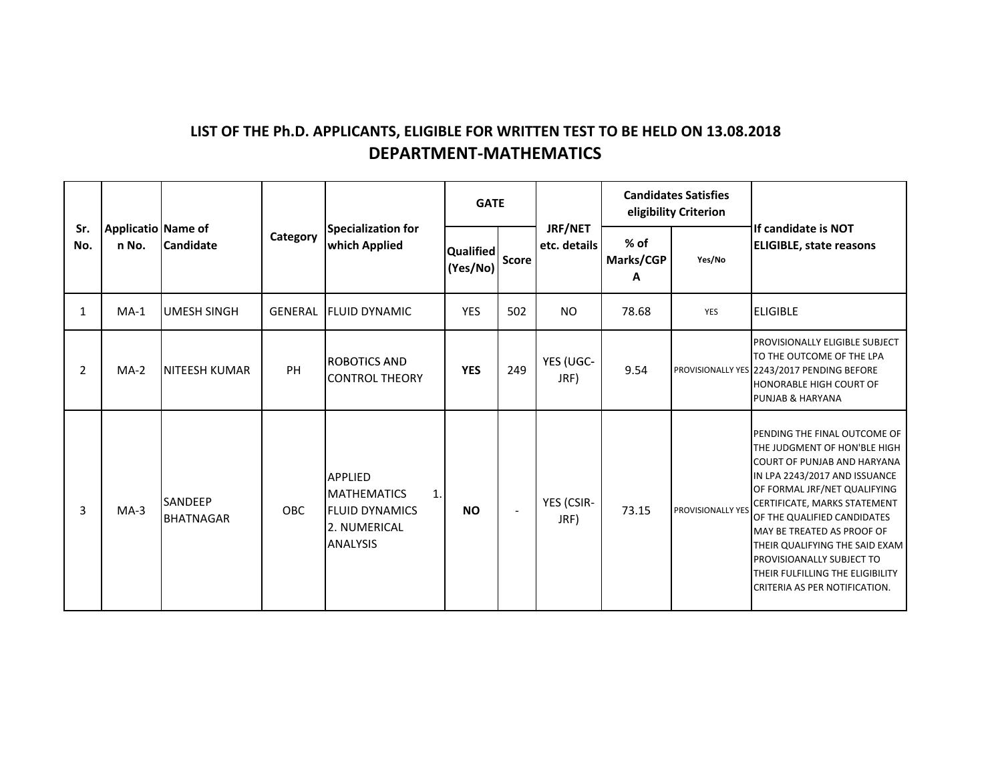## LIST OF THE Ph.D. APPLICANTS, ELIGIBLE FOR WRITTEN TEST TO BE HELD ON 13.08.2018 DEPARTMENT-MATHEMATICS

|              |                                                 |                                    |                |                                                                                                        | <b>GATE</b>           |                          |                         |                          | <b>Candidates Satisfies</b><br>eligibility Criterion<br>If candidate is NOT |                                                                                                                                                                                                                                                                                                                                                                                                             |
|--------------|-------------------------------------------------|------------------------------------|----------------|--------------------------------------------------------------------------------------------------------|-----------------------|--------------------------|-------------------------|--------------------------|-----------------------------------------------------------------------------|-------------------------------------------------------------------------------------------------------------------------------------------------------------------------------------------------------------------------------------------------------------------------------------------------------------------------------------------------------------------------------------------------------------|
| Sr.<br>No.   | Applicatio Name of<br><b>Candidate</b><br>n No. |                                    | Category       | Specialization for<br>which Applied                                                                    | Qualified<br>(Yes/No) | Score                    | JRF/NET<br>etc. details | $%$ of<br>Marks/CGP<br>A | Yes/No                                                                      | <b>ELIGIBLE, state reasons</b>                                                                                                                                                                                                                                                                                                                                                                              |
| $\mathbf{1}$ | $MA-1$                                          | <b>UMESH SINGH</b>                 | <b>GENERAL</b> | <b>FLUID DYNAMIC</b>                                                                                   | <b>YES</b>            | 502                      | <b>NO</b>               | 78.68                    | <b>YES</b>                                                                  | <b>ELIGIBLE</b>                                                                                                                                                                                                                                                                                                                                                                                             |
| 2            | $MA-2$                                          | NITEESH KUMAR                      | PH             | <b>ROBOTICS AND</b><br><b>CONTROL THEORY</b>                                                           | <b>YES</b>            | 249                      | YES (UGC-<br>JRF)       | 9.54                     |                                                                             | PROVISIONALLY ELIGIBLE SUBJECT<br>TO THE OUTCOME OF THE LPA<br>PROVISIONALLY YES 2243/2017 PENDING BEFORE<br>HONORABLE HIGH COURT OF<br>PUNJAB & HARYANA                                                                                                                                                                                                                                                    |
| 3            | $MA-3$                                          | <b>SANDEEP</b><br><b>BHATNAGAR</b> | <b>OBC</b>     | <b>APPLIED</b><br><b>MATHEMATICS</b><br>1.<br><b>FLUID DYNAMICS</b><br>2. NUMERICAL<br><b>ANALYSIS</b> | <b>NO</b>             | $\overline{\phantom{a}}$ | YES (CSIR-<br>JRF)      | 73.15                    | PROVISIONALLY YES                                                           | PENDING THE FINAL OUTCOME OF<br>THE JUDGMENT OF HON'BLE HIGH<br><b>COURT OF PUNJAB AND HARYANA</b><br>IN LPA 2243/2017 AND ISSUANCE<br>OF FORMAL JRF/NET QUALIFYING<br>CERTIFICATE, MARKS STATEMENT<br>OF THE QUALIFIED CANDIDATES<br>MAY BE TREATED AS PROOF OF<br>THEIR QUALIFYING THE SAID EXAM<br><b>PROVISIOANALLY SUBJECT TO</b><br>THEIR FULFILLING THE ELIGIBILITY<br>CRITERIA AS PER NOTIFICATION. |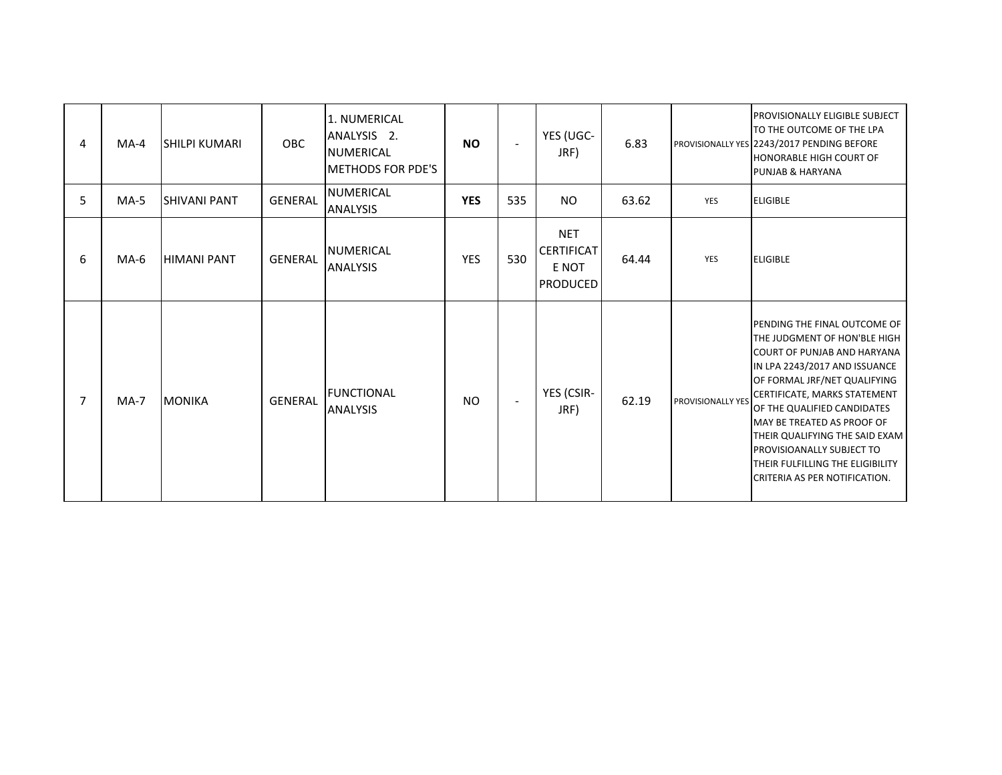| 4              | $MA-4$ | <b>SHILPI KUMARI</b> | <b>OBC</b>     | 1. NUMERICAL<br>ANALYSIS <sub>2</sub> .<br><b>NUMERICAL</b><br><b>METHODS FOR PDE'S</b> | <b>NO</b>  | $\overline{\phantom{a}}$ | YES (UGC-<br>JRF)                                           | 6.83  |                          | <b>PROVISIONALLY ELIGIBLE SUBJECT</b><br>TO THE OUTCOME OF THE LPA<br>PROVISIONALLY YES 2243/2017 PENDING BEFORE<br><b>HONORABLE HIGH COURT OF</b><br><b>PUNJAB &amp; HARYANA</b>                                                                                                                                                                                                                                  |
|----------------|--------|----------------------|----------------|-----------------------------------------------------------------------------------------|------------|--------------------------|-------------------------------------------------------------|-------|--------------------------|--------------------------------------------------------------------------------------------------------------------------------------------------------------------------------------------------------------------------------------------------------------------------------------------------------------------------------------------------------------------------------------------------------------------|
| 5              | $MA-5$ | <b>SHIVANI PANT</b>  | <b>GENERAL</b> | NUMERICAL<br><b>ANALYSIS</b>                                                            | <b>YES</b> | 535                      | <b>NO</b>                                                   | 63.62 | YES                      | <b>ELIGIBLE</b>                                                                                                                                                                                                                                                                                                                                                                                                    |
| 6              | $MA-6$ | <b>HIMANI PANT</b>   | <b>GENERAL</b> | <b>NUMERICAL</b><br><b>ANALYSIS</b>                                                     | <b>YES</b> | 530                      | <b>NET</b><br><b>CERTIFICAT</b><br>E NOT<br><b>PRODUCED</b> | 64.44 | YES                      | <b>ELIGIBLE</b>                                                                                                                                                                                                                                                                                                                                                                                                    |
| $\overline{7}$ | $MA-7$ | <b>MONIKA</b>        | <b>GENERAL</b> | <b>FUNCTIONAL</b><br><b>ANALYSIS</b>                                                    | <b>NO</b>  | $\overline{\phantom{a}}$ | YES (CSIR-<br>JRF)                                          | 62.19 | <b>PROVISIONALLY YES</b> | <b>PENDING THE FINAL OUTCOME OF</b><br>THE JUDGMENT OF HON'BLE HIGH<br><b>COURT OF PUNJAB AND HARYANA</b><br>IN LPA 2243/2017 AND ISSUANCE<br>OF FORMAL JRF/NET QUALIFYING<br>CERTIFICATE, MARKS STATEMENT<br>OF THE QUALIFIED CANDIDATES<br>MAY BE TREATED AS PROOF OF<br>THEIR QUALIFYING THE SAID EXAM<br><b>PROVISIOANALLY SUBJECT TO</b><br>THEIR FULFILLING THE ELIGIBILITY<br>CRITERIA AS PER NOTIFICATION. |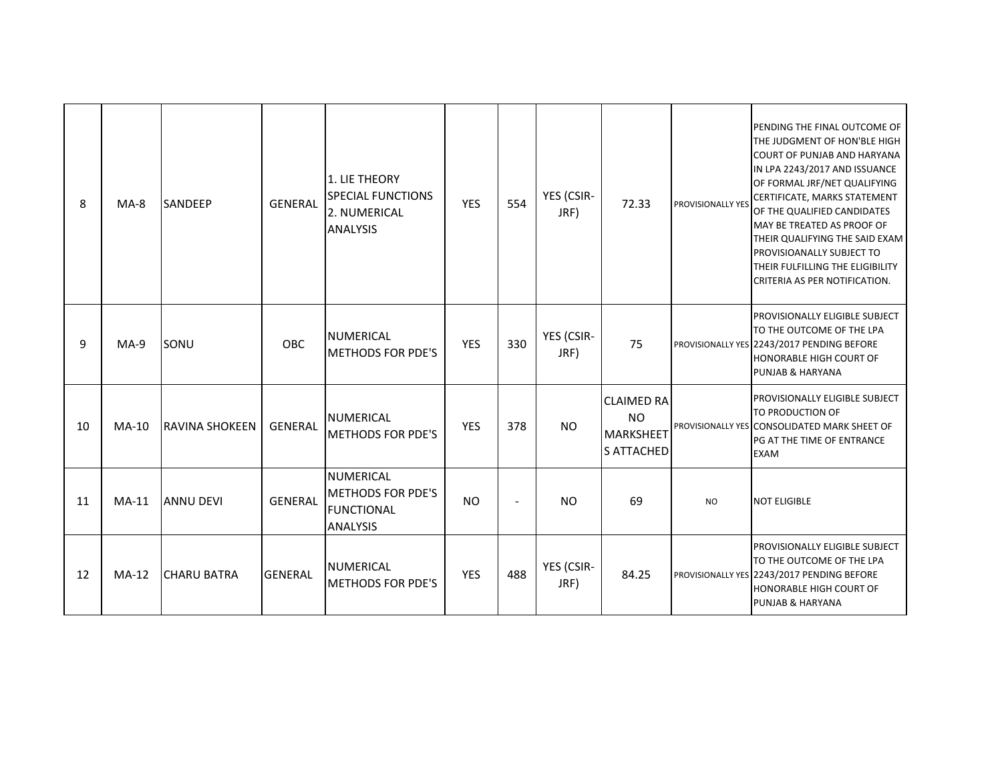| 8  | $MA-8$  | <b>SANDEEP</b>        | <b>GENERAL</b> | 1. LIE THEORY<br><b>SPECIAL FUNCTIONS</b><br>2. NUMERICAL<br><b>ANALYSIS</b>          | <b>YES</b> | 554                      | YES (CSIR-<br>JRF) | 72.33                                                                   | <b>PROVISIONALLY YES</b> | PENDING THE FINAL OUTCOME OF<br>THE JUDGMENT OF HON'BLE HIGH<br><b>COURT OF PUNJAB AND HARYANA</b><br>IN LPA 2243/2017 AND ISSUANCE<br>OF FORMAL JRF/NET QUALIFYING<br>CERTIFICATE, MARKS STATEMENT<br>OF THE QUALIFIED CANDIDATES<br>MAY BE TREATED AS PROOF OF<br>THEIR QUALIFYING THE SAID EXAM<br>PROVISIOANALLY SUBJECT TO<br>THEIR FULFILLING THE ELIGIBILITY<br>CRITERIA AS PER NOTIFICATION. |
|----|---------|-----------------------|----------------|---------------------------------------------------------------------------------------|------------|--------------------------|--------------------|-------------------------------------------------------------------------|--------------------------|------------------------------------------------------------------------------------------------------------------------------------------------------------------------------------------------------------------------------------------------------------------------------------------------------------------------------------------------------------------------------------------------------|
| 9  | $MA-9$  | SONU                  | OBC            | <b>NUMERICAL</b><br><b>METHODS FOR PDE'S</b>                                          | <b>YES</b> | 330                      | YES (CSIR-<br>JRF) | 75                                                                      |                          | <b>PROVISIONALLY ELIGIBLE SUBJECT</b><br>TO THE OUTCOME OF THE LPA<br>PROVISIONALLY YES 2243/2017 PENDING BEFORE<br>HONORABLE HIGH COURT OF<br><b>PUNJAB &amp; HARYANA</b>                                                                                                                                                                                                                           |
| 10 | $MA-10$ | <b>RAVINA SHOKEEN</b> | <b>GENERAL</b> | <b>NUMERICAL</b><br><b>IMETHODS FOR PDE'S</b>                                         | <b>YES</b> | 378                      | <b>NO</b>          | <b>CLAIMED RA</b><br><b>NO</b><br><b>MARKSHEET</b><br><b>S ATTACHED</b> |                          | PROVISIONALLY ELIGIBLE SUBJECT<br>TO PRODUCTION OF<br>PROVISIONALLY YES CONSOLIDATED MARK SHEET OF<br>PG AT THE TIME OF ENTRANCE<br><b>EXAM</b>                                                                                                                                                                                                                                                      |
| 11 | MA-11   | <b>ANNU DEVI</b>      | <b>GENERAL</b> | <b>NUMERICAL</b><br><b>IMETHODS FOR PDE'S</b><br><b>FUNCTIONAL</b><br><b>ANALYSIS</b> | <b>NO</b>  | $\overline{\phantom{a}}$ | <b>NO</b>          | 69                                                                      | <b>NO</b>                | <b>NOT ELIGIBLE</b>                                                                                                                                                                                                                                                                                                                                                                                  |
| 12 | $MA-12$ | <b>CHARU BATRA</b>    | <b>GENERAL</b> | <b>NUMERICAL</b><br><b>METHODS FOR PDE'S</b>                                          | <b>YES</b> | 488                      | YES (CSIR-<br>JRF) | 84.25                                                                   |                          | PROVISIONALLY ELIGIBLE SUBJECT<br>TO THE OUTCOME OF THE LPA<br>PROVISIONALLY YES 2243/2017 PENDING BEFORE<br><b>HONORABLE HIGH COURT OF</b><br>PUNJAB & HARYANA                                                                                                                                                                                                                                      |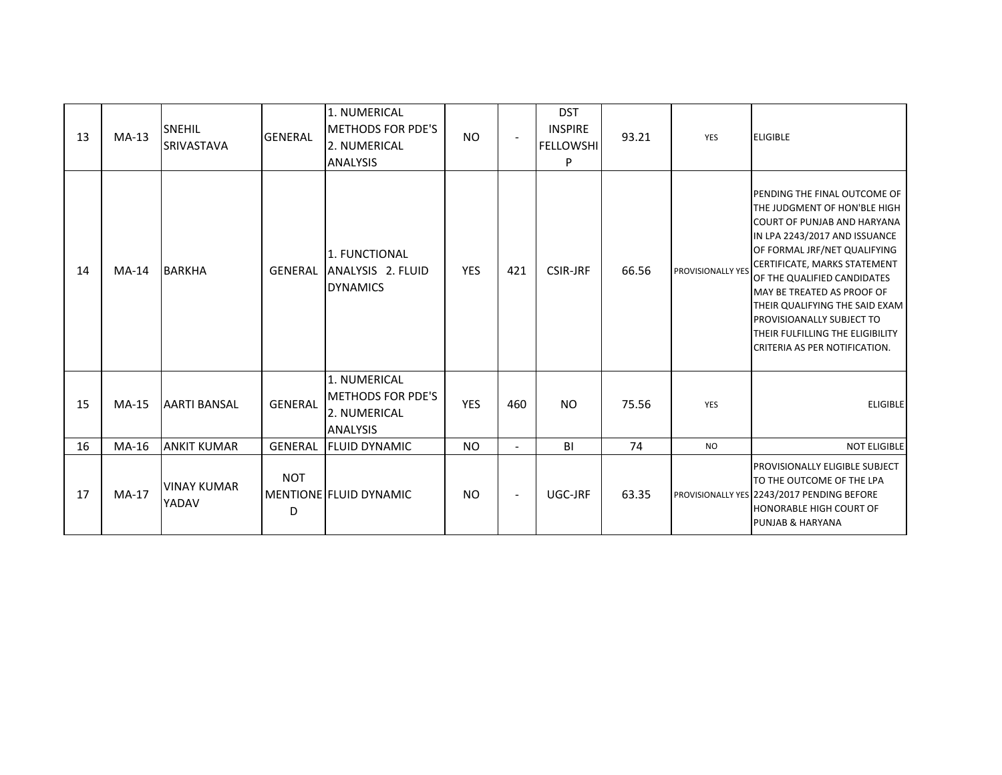| 13 | $MA-13$ | SNEHIL<br><b>SRIVASTAVA</b> | <b>GENERAL</b>  | 1. NUMERICAL<br><b>METHODS FOR PDE'S</b><br>2. NUMERICAL<br><b>ANALYSIS</b> | <b>NO</b>  | $\sim$         | <b>DST</b><br><b>INSPIRE</b><br><b>FELLOWSHI</b><br>P | 93.21 | YES               | <b>ELIGIBLE</b>                                                                                                                                                                                                                                                                                                                                                                                      |
|----|---------|-----------------------------|-----------------|-----------------------------------------------------------------------------|------------|----------------|-------------------------------------------------------|-------|-------------------|------------------------------------------------------------------------------------------------------------------------------------------------------------------------------------------------------------------------------------------------------------------------------------------------------------------------------------------------------------------------------------------------------|
| 14 | $MA-14$ | <b>BARKHA</b>               | <b>GENERAL</b>  | 1. FUNCTIONAL<br>ANALYSIS 2. FLUID<br><b>DYNAMICS</b>                       | <b>YES</b> | 421            | <b>CSIR-JRF</b>                                       | 66.56 | PROVISIONALLY YES | PENDING THE FINAL OUTCOME OF<br>THE JUDGMENT OF HON'BLE HIGH<br><b>COURT OF PUNJAB AND HARYANA</b><br>IN LPA 2243/2017 AND ISSUANCE<br>OF FORMAL JRF/NET QUALIFYING<br>CERTIFICATE, MARKS STATEMENT<br>OF THE QUALIFIED CANDIDATES<br>MAY BE TREATED AS PROOF OF<br>THEIR QUALIFYING THE SAID EXAM<br>PROVISIOANALLY SUBJECT TO<br>THEIR FULFILLING THE ELIGIBILITY<br>CRITERIA AS PER NOTIFICATION. |
| 15 | $MA-15$ | <b>AARTI BANSAL</b>         | <b>GENERAL</b>  | 1. NUMERICAL<br><b>METHODS FOR PDE'S</b><br>2. NUMERICAL<br><b>ANALYSIS</b> | <b>YES</b> | 460            | <b>NO</b>                                             | 75.56 | YES               | <b>ELIGIBLE</b>                                                                                                                                                                                                                                                                                                                                                                                      |
| 16 | MA-16   | <b>ANKIT KUMAR</b>          | <b>GENERAL</b>  | <b>FLUID DYNAMIC</b>                                                        | <b>NO</b>  | $\blacksquare$ | BI                                                    | 74    | <b>NO</b>         | <b>NOT ELIGIBLE</b>                                                                                                                                                                                                                                                                                                                                                                                  |
| 17 | $MA-17$ | <b>VINAY KUMAR</b><br>YADAV | <b>NOT</b><br>D | MENTIONE FLUID DYNAMIC                                                      | <b>NO</b>  | $\blacksquare$ | UGC-JRF                                               | 63.35 |                   | PROVISIONALLY ELIGIBLE SUBJECT<br>TO THE OUTCOME OF THE LPA<br>PROVISIONALLY YES 2243/2017 PENDING BEFORE<br><b>HONORABLE HIGH COURT OF</b><br><b>PUNJAB &amp; HARYANA</b>                                                                                                                                                                                                                           |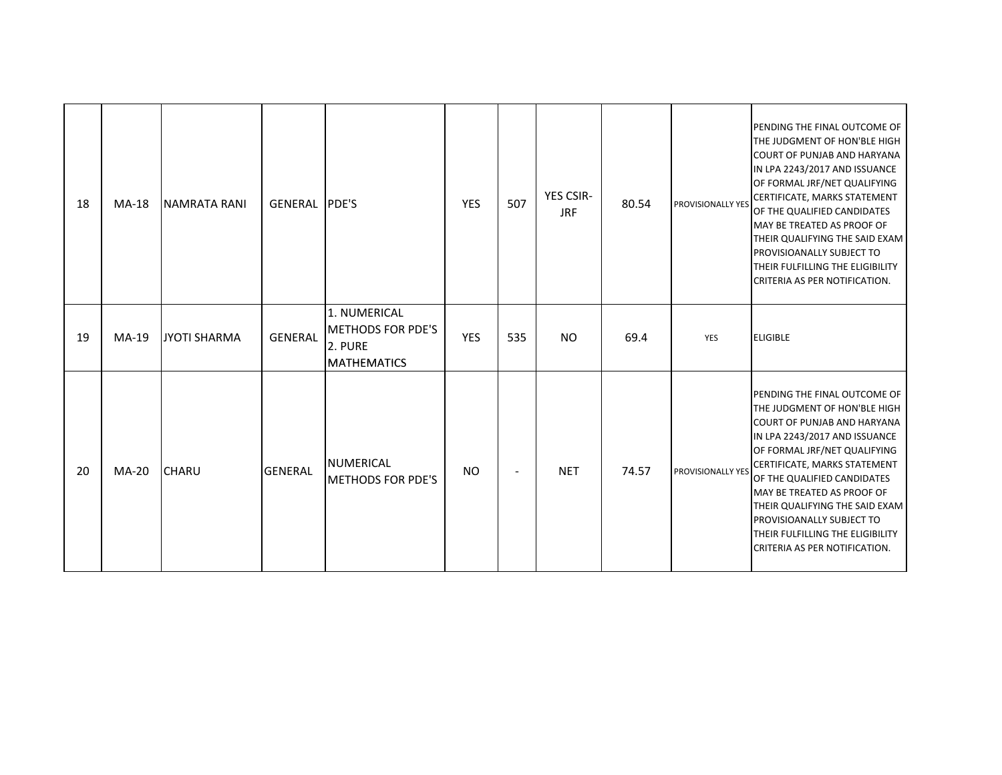| 18 | <b>MA-18</b> | <b>NAMRATA RANI</b> | GENERAL PDE'S  |                                                                           | <b>YES</b> | 507    | YES CSIR-<br><b>JRF</b> | 80.54 | <b>PROVISIONALLY YES</b> | PENDING THE FINAL OUTCOME OF<br>THE JUDGMENT OF HON'BLE HIGH<br><b>COURT OF PUNJAB AND HARYANA</b><br>IN LPA 2243/2017 AND ISSUANCE<br>OF FORMAL JRF/NET QUALIFYING<br>CERTIFICATE, MARKS STATEMENT<br>OF THE QUALIFIED CANDIDATES<br>MAY BE TREATED AS PROOF OF<br>THEIR QUALIFYING THE SAID EXAM<br>PROVISIOANALLY SUBJECT TO<br><b>THEIR FULFILLING THE ELIGIBILITY</b><br>CRITERIA AS PER NOTIFICATION. |
|----|--------------|---------------------|----------------|---------------------------------------------------------------------------|------------|--------|-------------------------|-------|--------------------------|-------------------------------------------------------------------------------------------------------------------------------------------------------------------------------------------------------------------------------------------------------------------------------------------------------------------------------------------------------------------------------------------------------------|
| 19 | $MA-19$      | JYOTI SHARMA        | <b>GENERAL</b> | 1. NUMERICAL<br><b>METHODS FOR PDE'S</b><br>2. PURE<br><b>MATHEMATICS</b> | <b>YES</b> | 535    | <b>NO</b>               | 69.4  | YES                      | <b>ELIGIBLE</b>                                                                                                                                                                                                                                                                                                                                                                                             |
| 20 | $MA-20$      | <b>CHARU</b>        | <b>GENERAL</b> | <b>NUMERICAL</b><br><b>METHODS FOR PDE'S</b>                              | <b>NO</b>  | $\sim$ | <b>NET</b>              | 74.57 | PROVISIONALLY YES        | PENDING THE FINAL OUTCOME OF<br>THE JUDGMENT OF HON'BLE HIGH<br><b>COURT OF PUNJAB AND HARYANA</b><br>IN LPA 2243/2017 AND ISSUANCE<br>OF FORMAL JRF/NET QUALIFYING<br>CERTIFICATE, MARKS STATEMENT<br>OF THE QUALIFIED CANDIDATES<br>MAY BE TREATED AS PROOF OF<br>THEIR QUALIFYING THE SAID EXAM<br><b>PROVISIOANALLY SUBJECT TO</b><br>THEIR FULFILLING THE ELIGIBILITY<br>CRITERIA AS PER NOTIFICATION. |